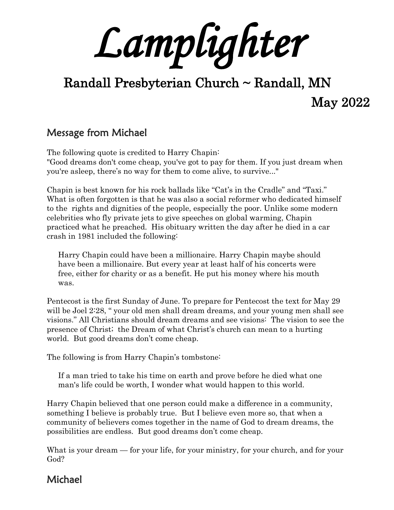*Lamplighter* 

# Randall Presbyterian Church ~ Randall, MN May 2022

## Message from Michael

The following quote is credited to Harry Chapin: "Good dreams don't come cheap, you've got to pay for them. If you just dream when you're asleep, there's no way for them to come alive, to survive..."

Chapin is best known for his rock ballads like "Cat's in the Cradle" and "Taxi." What is often forgotten is that he was also a social reformer who dedicated himself to the rights and dignities of the people, especially the poor. Unlike some modern celebrities who fly private jets to give speeches on global warming, Chapin practiced what he preached. His obituary written the day after he died in a car crash in 1981 included the following:

Harry Chapin could have been a millionaire. Harry Chapin maybe should have been a millionaire. But every year at least half of his concerts were free, either for charity or as a benefit. He put his money where his mouth was.

Pentecost is the first Sunday of June. To prepare for Pentecost the text for May 29 will be Joel 2:28, " your old men shall dream dreams, and your young men shall see visions." All Christians should dream dreams and see visions: The vision to see the presence of Christ; the Dream of what Christ's church can mean to a hurting world. But good dreams don't come cheap.

The following is from Harry Chapin's tombstone:

If a man tried to take his time on earth and prove before he died what one man's life could be worth, I wonder what would happen to this world.

Harry Chapin believed that one person could make a difference in a community, something I believe is probably true. But I believe even more so, that when a community of believers comes together in the name of God to dream dreams, the possibilities are endless. But good dreams don't come cheap.

What is your dream — for your life, for your ministry, for your church, and for your God?

### Michael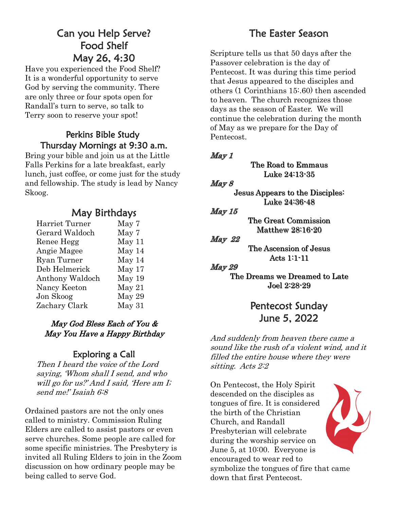# Can you Help Serve? Food Shelf May 26, 4:30

Have you experienced the Food Shelf? It is a wonderful opportunity to serve God by serving the community. There are only three or four spots open for Randall's turn to serve, so talk to Terry soon to reserve your spot!

### Perkins Bible Study Thursday Mornings at 9:30 a.m.

Bring your bible and join us at the Little Falls Perkins for a late breakfast, early lunch, just coffee, or come just for the study and fellowship. The study is lead by Nancy Skoog.

### May Birthdays

| Harriet Turner  | May 7  |
|-----------------|--------|
| Gerard Waldoch  | May 7  |
| Renee Hegg      | May 11 |
| Angie Magee     | May 14 |
| Ryan Turner     | May 14 |
| Deb Helmerick   | May 17 |
| Anthony Waldoch | May 19 |
| Nancy Keeton    | May 21 |
| Jon Skoog       | May 29 |
| Zachary Clark   | May 31 |
|                 |        |

### May God Bless Each of You & May You Have a Happy Birthday

### Exploring a Call

Then I heard the voice of the Lord saying, 'Whom shall I send, and who will go for us?' And I said, 'Here am I; send me!' Isaiah 6:8

Ordained pastors are not the only ones called to ministry. Commission Ruling Elders are called to assist pastors or even serve churches. Some people are called for some specific ministries. The Presbytery is invited all Ruling Elders to join in the Zoom discussion on how ordinary people may be being called to serve God.

# The Easter Season

Scripture tells us that 50 days after the Passover celebration is the day of Pentecost. It was during this time period that Jesus appeared to the disciples and others (1 Corinthians 15:.60) then ascended to heaven. The church recognizes those days as the season of Easter. We will continue the celebration during the month of May as we prepare for the Day of Pentecost.

### May 1

The Road to Emmaus Luke 24:13-35

#### $May 8$

Jesus Appears to the Disciples: Luke 24:36-48

#### May 15

The Great Commission Matthew 28:16-20

#### May 22

The Ascension of Jesus Acts 1:1-11

#### **May 29**

The Dreams we Dreamed to Late Joel 2:28-29

# Pentecost Sunday June 5, 2022

And suddenly from heaven there came a sound like the rush of a violent wind, and it filled the entire house where they were sitting. Acts 2:2

On Pentecost, the Holy Spirit descended on the disciples as tongues of fire. It is considered the birth of the Christian Church, and Randall Presbyterian will celebrate during the worship service on June 5, at 10:00. Everyone is encouraged to wear red to symbolize the tongues of fire that came down that first Pentecost.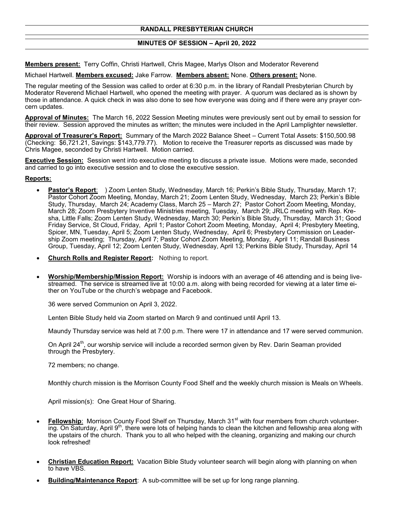#### **MINUTES OF SESSION – April 20, 2022**

**Members present:** Terry Coffin, Christi Hartwell, Chris Magee, Marlys Olson and Moderator Reverend

Michael Hartwell. **Members excused:** Jake Farrow. **Members absent:** None. **Others present:** None.

The regular meeting of the Session was called to order at 6:30 p.m. in the library of Randall Presbyterian Church by Moderator Reverend Michael Hartwell, who opened the meeting with prayer. A quorum was declared as is shown by those in attendance. A quick check in was also done to see how everyone was doing and if there were any prayer concern updates.

**Approval of Minutes:** The March 16, 2022 Session Meeting minutes were previously sent out by email to session for their review. Session approved the minutes as written; the minutes were included in the April Lamplighter newsletter.

**Approval of Treasurer's Report:** Summary of the March 2022 Balance Sheet – Current Total Assets: \$150,500.98 (Checking: \$6,721.21, Savings: \$143,779.77). Motion to receive the Treasurer reports as discussed was made by Chris Magee, seconded by Christi Hartwell. Motion carried.

**Executive Session:** Session went into executive meeting to discuss a private issue. Motions were made, seconded and carried to go into executive session and to close the executive session.

#### **Reports:**

- **Pastor's Report**: ) Zoom Lenten Study, Wednesday, March 16; Perkin's Bible Study, Thursday, March 17; Pastor Cohort Zoom Meeting, Monday, March 21; Zoom Lenten Study, Wednesday, March 23; Perkin's Bible Study, Thursday, March 24; Academy Class, March 25 – March 27; Pastor Cohort Zoom Meeting, Monday, March 28; Zoom Presbytery Inventive Ministries meeting, Tuesday, March 29; JRLC meeting with Rep. Kresha, Little Falls; Zoom Lenten Study, Wednesday, March 30; Perkin's Bible Study, Thursday, March 31; Good Friday Service, St Cloud, Friday, April 1; Pastor Cohort Zoom Meeting, Monday, April 4; Presbytery Meeting, Spicer, MN, Tuesday, April 5; Zoom Lenten Study, Wednesday, April 6; Presbytery Commission on Leadership Zoom meeting; Thursday, April 7; Pastor Cohort Zoom Meeting, Monday, April 11; Randall Business Group, Tuesday, April 12; Zoom Lenten Study, Wednesday, April 13; Perkins Bible Study, Thursday, April 14
- **Church Rolls and Register Report:** Nothing to report.
- **Worship/Membership/Mission Report:** Worship is indoors with an average of 46 attending and is being livestreamed. The service is streamed live at 10:00 a.m. along with being recorded for viewing at a later time either on YouTube or the church's webpage and Facebook.

36 were served Communion on April 3, 2022.

Lenten Bible Study held via Zoom started on March 9 and continued until April 13.

Maundy Thursday service was held at 7:00 p.m. There were 17 in attendance and 17 were served communion.

On April 24<sup>th</sup>, our worship service will include a recorded sermon given by Rev. Darin Seaman provided through the Presbytery.

72 members; no change.

Monthly church mission is the Morrison County Food Shelf and the weekly church mission is Meals on Wheels.

April mission(s): One Great Hour of Sharing.

- **Fellowship**: Morrison County Food Shelf on Thursday, March 31<sup>st</sup> with four members from church volunteering. On Saturday, April 9<sup>th</sup>, there were lots of helping hands to clean the kitchen and fellowship area along with the upstairs of the church. Thank you to all who helped with the cleaning, organizing and making our church look refreshed!
- **Christian Education Report:** Vacation Bible Study volunteer search will begin along with planning on when to have VBS.
- **Building/Maintenance Report**: A sub-committee will be set up for long range planning.